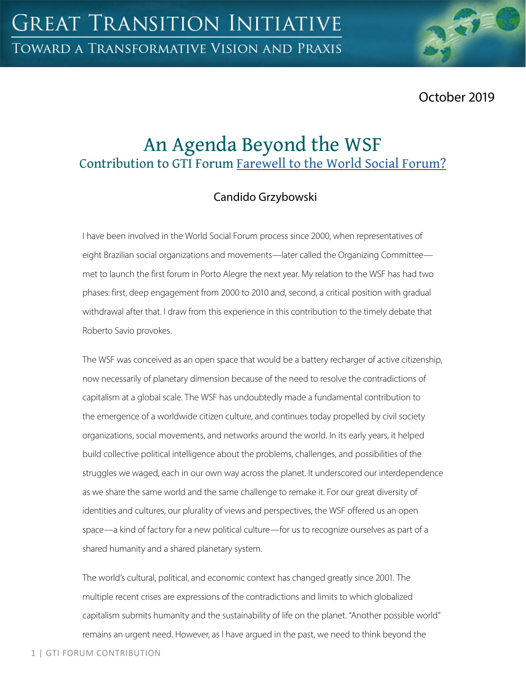October 2019

# An Agenda Beyond the WSF Contribution to GTI Forum Farewell to the World Social Forum?

## Candido Grzybowski

I have been involved in the World Social Forum process since 2000, when representatives of eight Brazilian social organizations and movements—later called the Organizing Committee met to launch the first forum in Porto Alegre the next year. My relation to the WSF has had two phases: first, deep engagement from 2000 to 2010 and, second, a critical position with gradual withdrawal after that. I draw from this experience in this contribution to the timely debate that Roberto Savio provokes.

The WSF was conceived as an open space that would be a battery recharger of active citizenship, now necessarily of planetary dimension because of the need to resolve the contradictions of capitalism at a global scale. The WSF has undoubtedly made a fundamental contribution to the emergence of a worldwide citizen culture, and continues today propelled by civil society organizations, social movements, and networks around the world. In its early years, it helped build collective political intelligence about the problems, challenges, and possibilities of the struggles we waged, each in our own way across the planet. It underscored our interdependence as we share the same world and the same challenge to remake it. For our great diversity of identities and cultures, our plurality of views and perspectives, the WSF offered us an open space—a kind of factory for a new political culture—for us to recognize ourselves as part of a shared humanity and a shared planetary system.

The world's cultural, political, and economic context has changed greatly since 2001. The multiple recent crises are expressions of the contradictions and limits to which globalized capitalism submits humanity and the sustainability of life on the planet. "Another possible world" remains an urgent need. However, as I have argued in the past, we need to think beyond the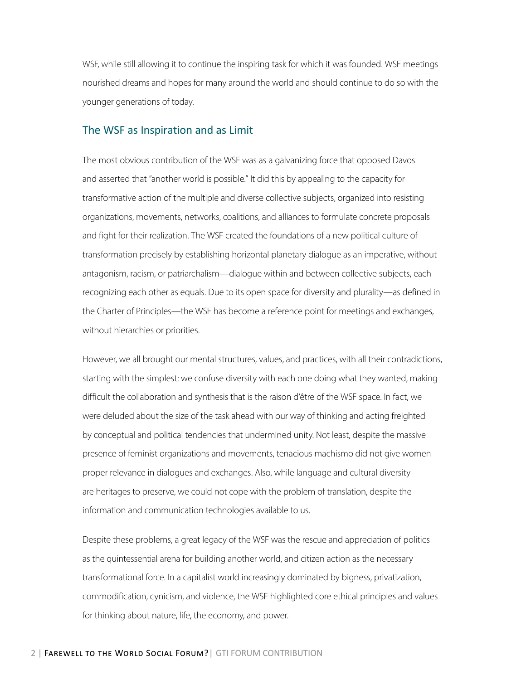WSF, while still allowing it to continue the inspiring task for which it was founded. WSF meetings nourished dreams and hopes for many around the world and should continue to do so with the younger generations of today.

#### The WSF as Inspiration and as Limit

The most obvious contribution of the WSF was as a galvanizing force that opposed Davos and asserted that "another world is possible." It did this by appealing to the capacity for transformative action of the multiple and diverse collective subjects, organized into resisting organizations, movements, networks, coalitions, and alliances to formulate concrete proposals and fight for their realization. The WSF created the foundations of a new political culture of transformation precisely by establishing horizontal planetary dialogue as an imperative, without antagonism, racism, or patriarchalism—dialogue within and between collective subjects, each recognizing each other as equals. Due to its open space for diversity and plurality—as defined in the Charter of Principles—the WSF has become a reference point for meetings and exchanges, without hierarchies or priorities.

However, we all brought our mental structures, values, and practices, with all their contradictions, starting with the simplest: we confuse diversity with each one doing what they wanted, making difficult the collaboration and synthesis that is the raison d'être of the WSF space. In fact, we were deluded about the size of the task ahead with our way of thinking and acting freighted by conceptual and political tendencies that undermined unity. Not least, despite the massive presence of feminist organizations and movements, tenacious machismo did not give women proper relevance in dialogues and exchanges. Also, while language and cultural diversity are heritages to preserve, we could not cope with the problem of translation, despite the information and communication technologies available to us.

Despite these problems, a great legacy of the WSF was the rescue and appreciation of politics as the quintessential arena for building another world, and citizen action as the necessary transformational force. In a capitalist world increasingly dominated by bigness, privatization, commodification, cynicism, and violence, the WSF highlighted core ethical principles and values for thinking about nature, life, the economy, and power.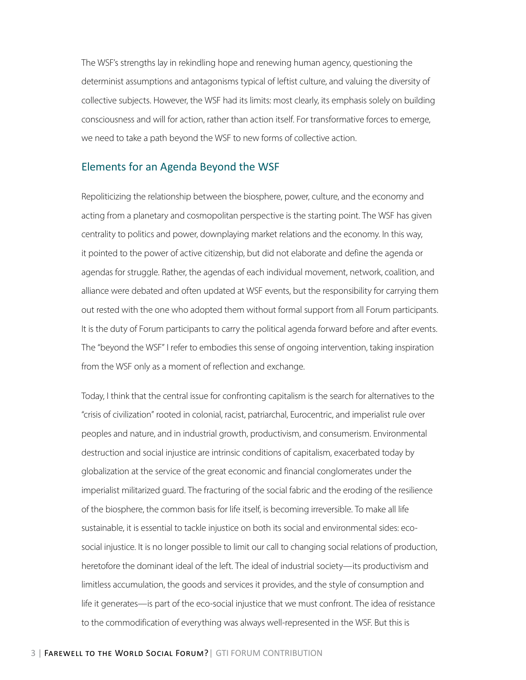The WSF's strengths lay in rekindling hope and renewing human agency, questioning the determinist assumptions and antagonisms typical of leftist culture, and valuing the diversity of collective subjects. However, the WSF had its limits: most clearly, its emphasis solely on building consciousness and will for action, rather than action itself. For transformative forces to emerge, we need to take a path beyond the WSF to new forms of collective action.

#### Elements for an Agenda Beyond the WSF

Repoliticizing the relationship between the biosphere, power, culture, and the economy and acting from a planetary and cosmopolitan perspective is the starting point. The WSF has given centrality to politics and power, downplaying market relations and the economy. In this way, it pointed to the power of active citizenship, but did not elaborate and define the agenda or agendas for struggle. Rather, the agendas of each individual movement, network, coalition, and alliance were debated and often updated at WSF events, but the responsibility for carrying them out rested with the one who adopted them without formal support from all Forum participants. It is the duty of Forum participants to carry the political agenda forward before and after events. The "beyond the WSF" I refer to embodies this sense of ongoing intervention, taking inspiration from the WSF only as a moment of reflection and exchange.

Today, I think that the central issue for confronting capitalism is the search for alternatives to the "crisis of civilization" rooted in colonial, racist, patriarchal, Eurocentric, and imperialist rule over peoples and nature, and in industrial growth, productivism, and consumerism. Environmental destruction and social injustice are intrinsic conditions of capitalism, exacerbated today by globalization at the service of the great economic and financial conglomerates under the imperialist militarized guard. The fracturing of the social fabric and the eroding of the resilience of the biosphere, the common basis for life itself, is becoming irreversible. To make all life sustainable, it is essential to tackle injustice on both its social and environmental sides: ecosocial injustice. It is no longer possible to limit our call to changing social relations of production, heretofore the dominant ideal of the left. The ideal of industrial society—its productivism and limitless accumulation, the goods and services it provides, and the style of consumption and life it generates—is part of the eco-social injustice that we must confront. The idea of resistance to the commodification of everything was always well-represented in the WSF. But this is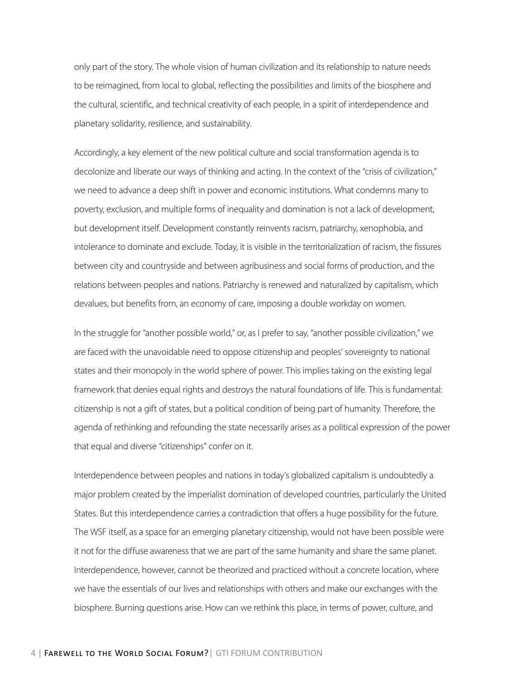only part of the story. The whole vision of human civilization and its relationship to nature needs to be reimagined, from local to global, reflecting the possibilities and limits of the biosphere and the cultural, scientific, and technical creativity of each people, in a spirit of interdependence and planetary solidarity, resilience, and sustainability.

Accordingly, a key element of the new political culture and social transformation agenda is to decolonize and liberate our ways of thinking and acting. In the context of the "crisis of civilization," we need to advance a deep shift in power and economic institutions. What condemns many to poverty, exclusion, and multiple forms of inequality and domination is not a lack of development, but development itself. Development constantly reinvents racism, patriarchy, xenophobia, and intolerance to dominate and exclude. Today, it is visible in the territorialization of racism, the fissures between city and countryside and between agribusiness and social forms of production, and the relations between peoples and nations. Patriarchy is renewed and naturalized by capitalism, which devalues, but benefits from, an economy of care, imposing a double workday on women.

In the struggle for "another possible world," or, as I prefer to say, "another possible civilization," we are faced with the unavoidable need to oppose citizenship and peoples' sovereignty to national states and their monopoly in the world sphere of power. This implies taking on the existing legal framework that denies equal rights and destroys the natural foundations of life. This is fundamental: citizenship is not a gift of states, but a political condition of being part of humanity. Therefore, the agenda of rethinking and refounding the state necessarily arises as a political expression of the power that equal and diverse "citizenships" confer on it.

Interdependence between peoples and nations in today's globalized capitalism is undoubtedly a major problem created by the imperialist domination of developed countries, particularly the United States. But this interdependence carries a contradiction that offers a huge possibility for the future. The WSF itself, as a space for an emerging planetary citizenship, would not have been possible were it not for the diffuse awareness that we are part of the same humanity and share the same planet. Interdependence, however, cannot be theorized and practiced without a concrete location, where we have the essentials of our lives and relationships with others and make our exchanges with the biosphere. Burning questions arise. How can we rethink this place, in terms of power, culture, and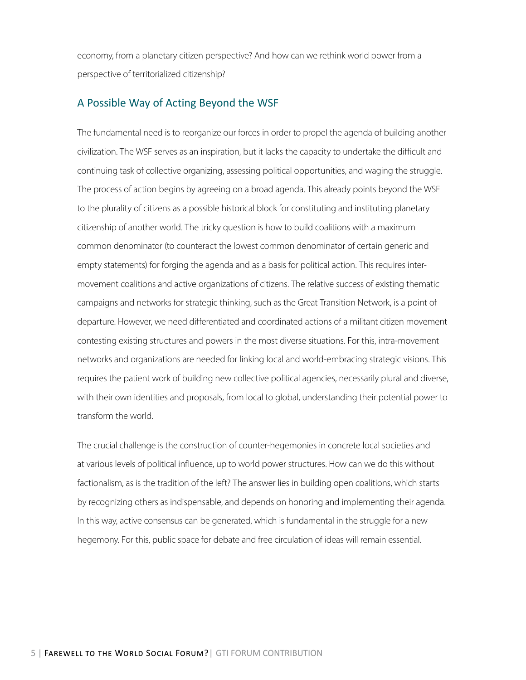economy, from a planetary citizen perspective? And how can we rethink world power from a perspective of territorialized citizenship?

#### A Possible Way of Acting Beyond the WSF

The fundamental need is to reorganize our forces in order to propel the agenda of building another civilization. The WSF serves as an inspiration, but it lacks the capacity to undertake the difficult and continuing task of collective organizing, assessing political opportunities, and waging the struggle. The process of action begins by agreeing on a broad agenda. This already points beyond the WSF to the plurality of citizens as a possible historical block for constituting and instituting planetary citizenship of another world. The tricky question is how to build coalitions with a maximum common denominator (to counteract the lowest common denominator of certain generic and empty statements) for forging the agenda and as a basis for political action. This requires intermovement coalitions and active organizations of citizens. The relative success of existing thematic campaigns and networks for strategic thinking, such as the Great Transition Network, is a point of departure. However, we need differentiated and coordinated actions of a militant citizen movement contesting existing structures and powers in the most diverse situations. For this, intra-movement networks and organizations are needed for linking local and world-embracing strategic visions. This requires the patient work of building new collective political agencies, necessarily plural and diverse, with their own identities and proposals, from local to global, understanding their potential power to transform the world.

The crucial challenge is the construction of counter-hegemonies in concrete local societies and at various levels of political influence, up to world power structures. How can we do this without factionalism, as is the tradition of the left? The answer lies in building open coalitions, which starts by recognizing others as indispensable, and depends on honoring and implementing their agenda. In this way, active consensus can be generated, which is fundamental in the struggle for a new hegemony. For this, public space for debate and free circulation of ideas will remain essential.